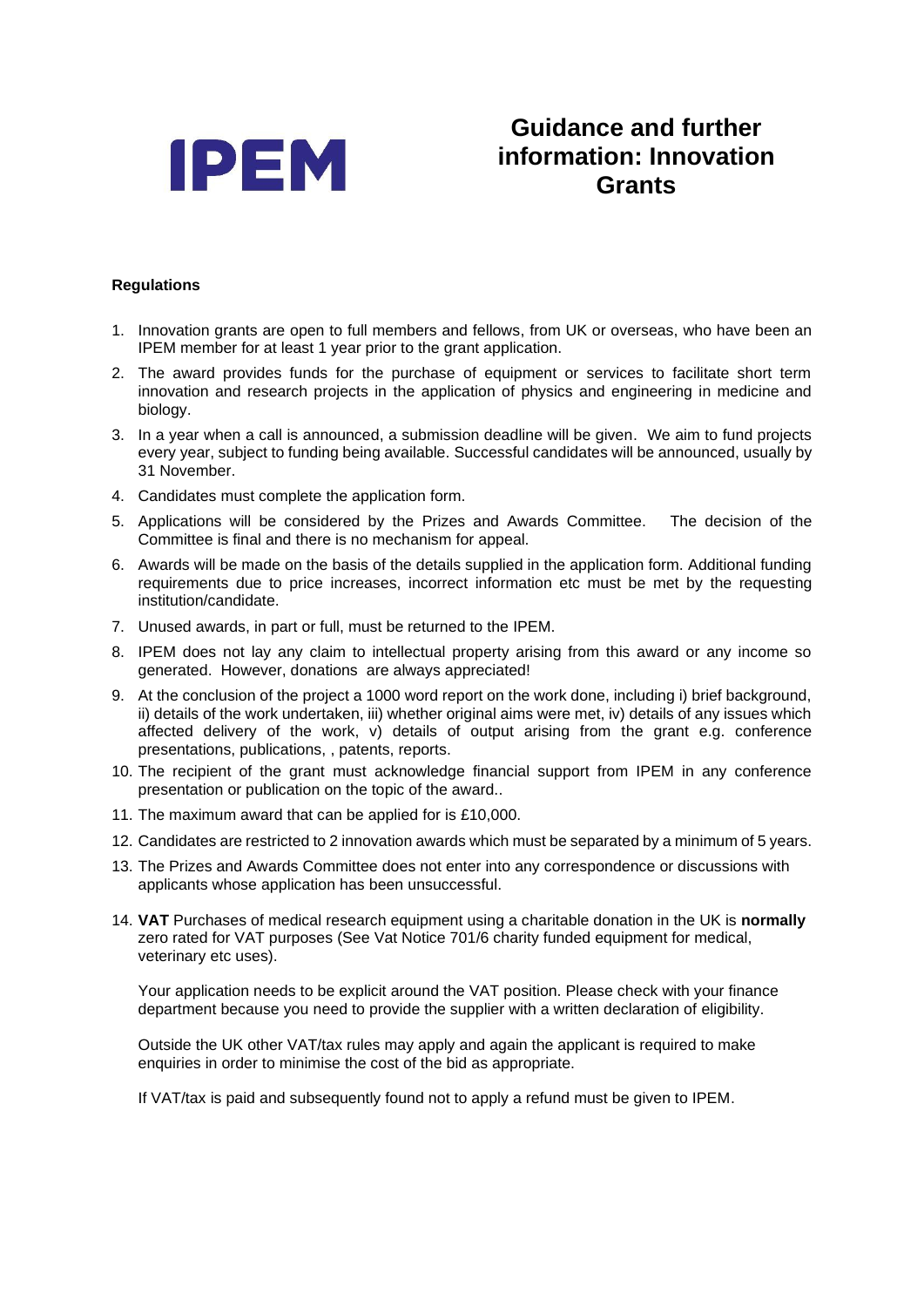

## **Guidance and further information: Innovation Grants**

## **Regulations**

- 1. Innovation grants are open to full members and fellows, from UK or overseas, who have been an IPEM member for at least 1 year prior to the grant application.
- 2. The award provides funds for the purchase of equipment or services to facilitate short term innovation and research projects in the application of physics and engineering in medicine and biology.
- 3. In a year when a call is announced, a submission deadline will be given. We aim to fund projects every year, subject to funding being available. Successful candidates will be announced, usually by 31 November.
- 4. Candidates must complete the application form.
- 5. Applications will be considered by the Prizes and Awards Committee. The decision of the Committee is final and there is no mechanism for appeal.
- 6. Awards will be made on the basis of the details supplied in the application form. Additional funding requirements due to price increases, incorrect information etc must be met by the requesting institution/candidate.
- 7. Unused awards, in part or full, must be returned to the IPEM.
- 8. IPEM does not lay any claim to intellectual property arising from this award or any income so generated. However, donations are always appreciated!
- 9. At the conclusion of the project a 1000 word report on the work done, including i) brief background, ii) details of the work undertaken, iii) whether original aims were met, iv) details of any issues which affected delivery of the work, v) details of output arising from the grant e.g. conference presentations, publications, , patents, reports.
- 10. The recipient of the grant must acknowledge financial support from IPEM in any conference presentation or publication on the topic of the award..
- 11. The maximum award that can be applied for is £10,000.
- 12. Candidates are restricted to 2 innovation awards which must be separated by a minimum of 5 years.
- 13. The Prizes and Awards Committee does not enter into any correspondence or discussions with applicants whose application has been unsuccessful.
- 14. **VAT** Purchases of medical research equipment using a charitable donation in the UK is **normally** zero rated for VAT purposes (See Vat Notice 701/6 charity funded equipment for medical, veterinary etc uses).

Your application needs to be explicit around the VAT position. Please check with your finance department because you need to provide the supplier with a written declaration of eligibility.

Outside the UK other VAT/tax rules may apply and again the applicant is required to make enquiries in order to minimise the cost of the bid as appropriate.

If VAT/tax is paid and subsequently found not to apply a refund must be given to IPEM.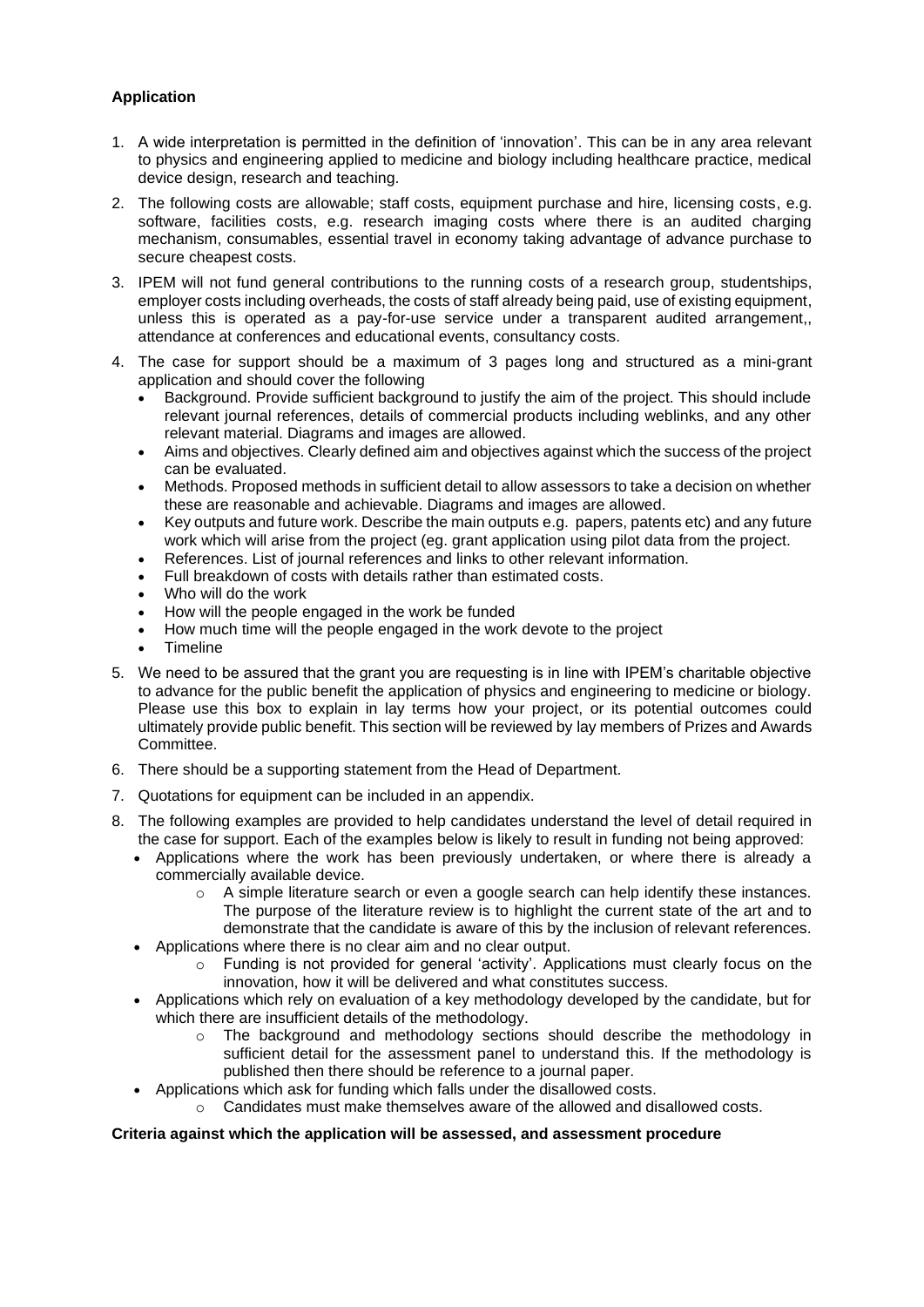## **Application**

- 1. A wide interpretation is permitted in the definition of 'innovation'. This can be in any area relevant to physics and engineering applied to medicine and biology including healthcare practice, medical device design, research and teaching.
- 2. The following costs are allowable; staff costs, equipment purchase and hire, licensing costs, e.g. software, facilities costs, e.g. research imaging costs where there is an audited charging mechanism, consumables, essential travel in economy taking advantage of advance purchase to secure cheapest costs.
- 3. IPEM will not fund general contributions to the running costs of a research group, studentships, employer costs including overheads, the costs of staff already being paid, use of existing equipment, unless this is operated as a pay-for-use service under a transparent audited arrangement,, attendance at conferences and educational events, consultancy costs.
- 4. The case for support should be a maximum of 3 pages long and structured as a mini-grant application and should cover the following
	- Background. Provide sufficient background to justify the aim of the project. This should include relevant journal references, details of commercial products including weblinks, and any other relevant material. Diagrams and images are allowed.
	- Aims and objectives. Clearly defined aim and objectives against which the success of the project can be evaluated.
	- Methods. Proposed methods in sufficient detail to allow assessors to take a decision on whether these are reasonable and achievable. Diagrams and images are allowed.
	- Key outputs and future work. Describe the main outputs e.g. papers, patents etc) and any future work which will arise from the project (eg. grant application using pilot data from the project.
	- References. List of journal references and links to other relevant information.
	- Full breakdown of costs with details rather than estimated costs.
	- Who will do the work
	- How will the people engaged in the work be funded
	- How much time will the people engaged in the work devote to the project
	- **Timeline**
- 5. We need to be assured that the grant you are requesting is in line with IPEM's charitable objective to advance for the public benefit the application of physics and engineering to medicine or biology. Please use this box to explain in lay terms how your project, or its potential outcomes could ultimately provide public benefit. This section will be reviewed by lay members of Prizes and Awards Committee.
- 6. There should be a supporting statement from the Head of Department.
- 7. Quotations for equipment can be included in an appendix.
- 8. The following examples are provided to help candidates understand the level of detail required in the case for support. Each of the examples below is likely to result in funding not being approved:
	- Applications where the work has been previously undertaken, or where there is already a commercially available device.
		- $\circ$  A simple literature search or even a google search can help identify these instances. The purpose of the literature review is to highlight the current state of the art and to demonstrate that the candidate is aware of this by the inclusion of relevant references.
		- Applications where there is no clear aim and no clear output.
			- Funding is not provided for general 'activity'. Applications must clearly focus on the innovation, how it will be delivered and what constitutes success.
	- Applications which rely on evaluation of a key methodology developed by the candidate, but for which there are insufficient details of the methodology.
		- $\circ$  The background and methodology sections should describe the methodology in sufficient detail for the assessment panel to understand this. If the methodology is published then there should be reference to a journal paper.
		- Applications which ask for funding which falls under the disallowed costs.
		- Candidates must make themselves aware of the allowed and disallowed costs.

## **Criteria against which the application will be assessed, and assessment procedure**